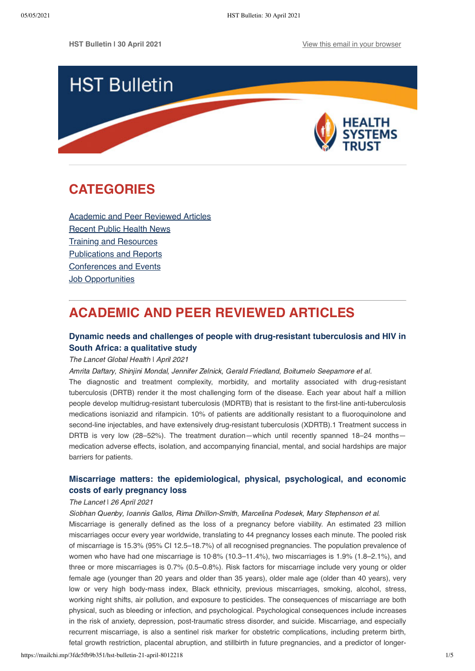

# <span id="page-0-1"></span>**CATEGORIES**

[Academic and Peer Reviewed Articles](#page-0-0) [Recent Public Health News](#page-1-0) Training and Resources [Publications and Reports](#page-3-0) [Conferences and Events](#page-3-1) [Job Opportunities](#page-3-2)

# <span id="page-0-0"></span>**ACADEMIC AND PEER REVIEWED ARTICLES**

## **[Dynamic needs and challenges of people with drug-resistant tuberculosis and HIV in](https://www.sciencedirect.com/science/article/pii/S2214109X20305489) South Africa: a qualitative study**

The Lancet Global Health I April 2021

Amrita Daftary, Shinjini Mondal, Jennifer Zelnick, Gerald Friedland, Boitumelo Seepamore et al.

The diagnostic and treatment complexity, morbidity, and mortality associated with drug-resistant tuberculosis (DRTB) render it the most challenging form of the disease. Each year about half a million people develop multidrug-resistant tuberculosis (MDRTB) that is resistant to the first-line anti-tuberculosis medications isoniazid and rifampicin. 10% of patients are additionally resistant to a fluoroquinolone and second-line injectables, and have extensively drug-resistant tuberculosis (XDRTB).1 Treatment success in DRTB is very low (28–52%). The treatment duration—which until recently spanned 18–24 months medication adverse effects, isolation, and accompanying financial, mental, and social hardships are major barriers for patients.

## **[Miscarriage matters: the epidemiological, physical, psychological, and economic](https://www.thelancet.com/journals/lancet/article/PIIS0140-6736(21)00682-6/fulltext) costs of early pregnancy loss**

### The Lancet | 26 April 2021

Siobhan Quenby, Ioannis Gallos, Rima Dhillon-Smith, Marcelina Podesek, Mary Stephenson et al.

Miscarriage is generally defined as the loss of a pregnancy before viability. An estimated 23 million miscarriages occur every year worldwide, translating to 44 pregnancy losses each minute. The pooled risk of miscarriage is 15.3% (95% CI 12.5–18.7%) of all recognised pregnancies. The population prevalence of women who have had one miscarriage is 10·8% (10.3–11.4%), two miscarriages is 1.9% (1.8–2.1%), and three or more miscarriages is 0.7% (0.5–0.8%). Risk factors for miscarriage include very young or older female age (younger than 20 years and older than 35 years), older male age (older than 40 years), very low or very high body-mass index, Black ethnicity, previous miscarriages, smoking, alcohol, stress, working night shifts, air pollution, and exposure to pesticides. The consequences of miscarriage are both physical, such as bleeding or infection, and psychological. Psychological consequences include increases in the risk of anxiety, depression, post-traumatic stress disorder, and suicide. Miscarriage, and especially recurrent miscarriage, is also a sentinel risk marker for obstetric complications, including preterm birth, fetal growth restriction, placental abruption, and stillbirth in future pregnancies, and a predictor of longer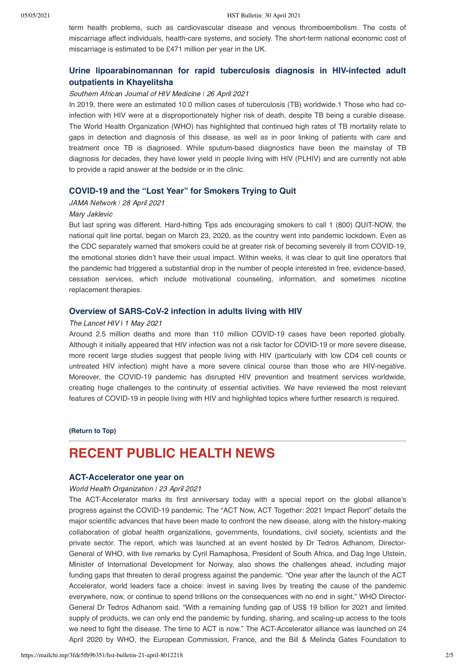term health problems, such as cardiovascular disease and venous thromboembolism. The costs of miscarriage affect individuals, health-care systems, and society. The short-term national economic cost of miscarriage is estimated to be £471 million per year in the UK.

### **[Urine lipoarabinomannan for rapid tuberculosis diagnosis in HIV-infected adult](https://sajhivmed.org.za/index.php/hivmed/article/view/1226/2397) outpatients in Khayelitsha**

#### Southern African Journal of HIV Medicine *ǀ* 26 April 2021

In 2019, there were an estimated 10.0 million cases of tuberculosis (TB) worldwide.1 Those who had coinfection with HIV were at a disproportionately higher risk of death, despite TB being a curable disease. The World Health Organization (WHO) has highlighted that continued high rates of TB mortality relate to gaps in detection and diagnosis of this disease, as well as in poor linking of patients with care and treatment once TB is diagnosed. While sputum-based diagnostics have been the mainstay of TB diagnosis for decades, they have lower yield in people living with HIV (PLHIV) and are currently not able to provide a rapid answer at the bedside or in the clinic.

#### **[COVID-19 and the "Lost Year" for Smokers Trying to Quit](https://jamanetwork.com/journals/jama/fullarticle/2779451)**

#### JAMA Network | 28 April 2021

#### Mary Jaklevic

But last spring was different. Hard-hitting Tips ads encouraging smokers to call 1 (800) QUIT-NOW, the national quit line portal, began on March 23, 2020, as the country went into pandemic lockdown. Even as the CDC separately warned that smokers could be at greater risk of becoming severely ill from COVID-19, the emotional stories didn't have their usual impact. Within weeks, it was clear to quit line operators that the pandemic had triggered a substantial drop in the number of people interested in free, evidence-based, cessation services, which include motivational counseling, information, and sometimes nicotine replacement therapies.

#### **[Overview of SARS-CoV-2 infection in adults living with HIV](https://www.thelancet.com/journals/lanhiv/article/PIIS2352-3018(21)00070-9/fulltext)**

#### The Lancet HIV | 1 May 2021

Around 2.5 million deaths and more than 110 million COVID-19 cases have been reported globally. Although it initially appeared that HIV infection was not a risk factor for COVID-19 or more severe disease, more recent large studies suggest that people living with HIV (particularly with low CD4 cell counts or untreated HIV infection) might have a more severe clinical course than those who are HIV-negative. Moreover, the COVID-19 pandemic has disrupted HIV prevention and treatment services worldwide, creating huge challenges to the continuity of essential activities. We have reviewed the most relevant features of COVID-19 in people living with HIV and highlighted topics where further research is required.

#### **[\(Return to Top\)](#page-0-1)**

## <span id="page-1-0"></span>**RECENT PUBLIC HEALTH NEWS**

#### **[ACT-Accelerator one year on](https://www.who.int/news/item/23-04-2021-act-accelerator-one-year-on)**

#### World Health Organization *ǀ* 23 April 2021

The ACT-Accelerator marks its first anniversary today with a special report on the global alliance's progress against the COVID-19 pandemic. The "ACT Now, ACT Together: 2021 Impact Report" details the major scientific advances that have been made to confront the new disease, along with the history-making collaboration of global health organizations, governments, foundations, civil society, scientists and the private sector. The report, which was launched at an event hosted by Dr Tedros Adhanom, Director-General of WHO, with live remarks by Cyril Ramaphosa, President of South Africa, and Dag Inge Ulstein, Minister of International Development for Norway, also shows the challenges ahead, including major funding gaps that threaten to derail progress against the pandemic. "One year after the launch of the ACT Accelerator, world leaders face a choice: invest in saving lives by treating the cause of the pandemic everywhere, now, or continue to spend trillions on the consequences with no end in sight," WHO Director-General Dr Tedros Adhanom said. "With a remaining funding gap of US\$ 19 billion for 2021 and limited supply of products, we can only end the pandemic by funding, sharing, and scaling-up access to the tools we need to fight the disease. The time to ACT is now." The ACT-Accelerator alliance was launched on 24 April 2020 by WHO, the European Commission, France, and the Bill & Melinda Gates Foundation to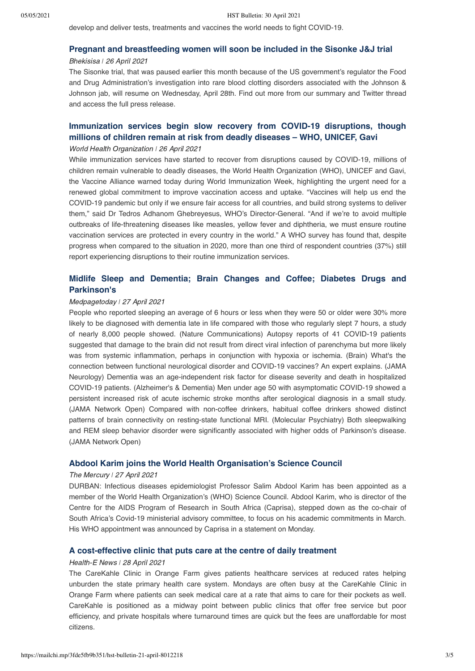develop and deliver tests, treatments and vaccines the world needs to fight COVID-19.

### **[Pregnant and breastfeeding women will soon be included in the Sisonke J&J trial](https://bhekisisa.org/article/2021-04-26-south-africa-resumes-the-jj-sisonke-trial/)**

#### Bhekisisa *ǀ* 26 April 2021

The Sisonke trial, that was paused earlier this month because of the US government's regulator the Food and Drug Administration's investigation into rare blood clotting disorders associated with the Johnson & Johnson jab, will resume on Wednesday, April 28th. Find out more from our summary and Twitter thread and access the full press release.

## **[Immunization services begin slow recovery from COVID-19 disruptions, though](https://www.who.int/news/item/26-04-2021-immunization-services-begin-slow-recovery-from-covid-19-disruptions-though-millions-of-children-remain-at-risk-from-deadly-diseases-who-unicef-gavi) millions of children remain at risk from deadly diseases – WHO, UNICEF, Gavi**

#### World Health Organization *ǀ* 26 April 2021

While immunization services have started to recover from disruptions caused by COVID-19, millions of children remain vulnerable to deadly diseases, the World Health Organization (WHO), UNICEF and Gavi, the Vaccine Alliance warned today during World Immunization Week, highlighting the urgent need for a renewed global commitment to improve vaccination access and uptake. "Vaccines will help us end the COVID-19 pandemic but only if we ensure fair access for all countries, and build strong systems to deliver them," said Dr Tedros Adhanom Ghebreyesus, WHO's Director-General. "And if we're to avoid multiple outbreaks of life-threatening diseases like measles, yellow fever and diphtheria, we must ensure routine vaccination services are protected in every country in the world." A WHO survey has found that, despite progress when compared to the situation in 2020, more than one third of respondent countries (37%) still report experiencing disruptions to their routine immunization services.

## **[Midlife Sleep and Dementia; Brain Changes and Coffee; Diabetes Drugs and](https://www.medpagetoday.com/neurology/generalneurology/92292?trw=no) Parkinson's**

#### Medpagetoday *ǀ* 27 April 2021

People who reported sleeping an average of 6 hours or less when they were 50 or older were 30% more likely to be diagnosed with dementia late in life compared with those who regularly slept 7 hours, a study of nearly 8,000 people showed. (Nature Communications) Autopsy reports of 41 COVID-19 patients suggested that damage to the brain did not result from direct viral infection of parenchyma but more likely was from systemic inflammation, perhaps in conjunction with hypoxia or ischemia. (Brain) What's the connection between functional neurological disorder and COVID-19 vaccines? An expert explains. (JAMA Neurology) Dementia was an age-independent risk factor for disease severity and death in hospitalized COVID-19 patients. (Alzheimer's & Dementia) Men under age 50 with asymptomatic COVID-19 showed a persistent increased risk of acute ischemic stroke months after serological diagnosis in a small study. (JAMA Network Open) Compared with non-coffee drinkers, habitual coffee drinkers showed distinct patterns of brain connectivity on resting-state functional MRI. (Molecular Psychiatry) Both sleepwalking and REM sleep behavior disorder were significantly associated with higher odds of Parkinson's disease. (JAMA Network Open)

#### **[Abdool Karim joins the World Health Organisation's Science Council](https://www.iol.co.za/mercury/news/abdool-karim-joins-the-world-health-organisations-science-council-7a9ced4b-929f-4aa9-8c6d-c60585df7d79)**

#### The Mercury *ǀ* 27 April 2021

DURBAN: Infectious diseases epidemiologist Professor Salim Abdool Karim has been appointed as a member of the World Health Organization's (WHO) Science Council. Abdool Karim, who is director of the Centre for the AIDS Program of Research in South Africa (Caprisa), stepped down as the co-chair of South Africa's Covid-19 ministerial advisory committee, to focus on his academic commitments in March. His WHO appointment was announced by Caprisa in a statement on Monday.

#### **[A cost-effective clinic that puts care at the centre of daily treatment](https://health-e.org.za/2021/04/28/carekahle-clinics-cost-effective-primary-health/)**

#### Health-E News *ǀ* 28 April 2021

The CareKahle Clinic in Orange Farm gives patients healthcare services at reduced rates helping unburden the state primary health care system. Mondays are often busy at the CareKahle Clinic in Orange Farm where patients can seek medical care at a rate that aims to care for their pockets as well. CareKahle is positioned as a midway point between public clinics that offer free service but poor efficiency, and private hospitals where turnaround times are quick but the fees are unaffordable for most citizens.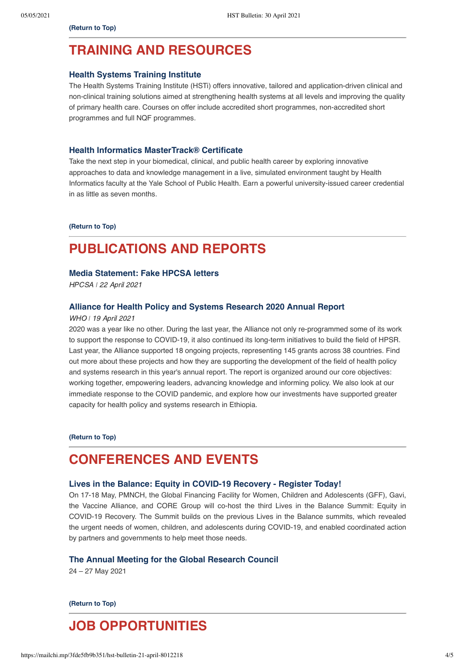## <span id="page-3-0"></span>**TRAINING AND RESOURCES**

#### **[Health Systems Training Institute](https://www.hstinstitute.co.za/Training)**

The Health Systems Training Institute (HSTi) offers innovative, tailored and application-driven clinical and non-clinical training solutions aimed at strengthening health systems at all levels and improving the quality of primary health care. Courses on offer include accredited short programmes, non-accredited short programmes and full NQF programmes.

#### **[Health Informatics MasterTrack® Certificate](https://www.coursera.org/mastertrack/health-informatics-yale)**

Take the next step in your biomedical, clinical, and public health career by exploring innovative approaches to data and knowledge management in a live, simulated environment taught by Health Informatics faculty at the Yale School of Public Health. Earn a powerful university-issued career credential in as little as seven months.

**[\(Return to Top\)](#page-0-1)**

# **PUBLICATIONS AND REPORTS**

#### **[Media Statement: Fake HPCSA letters](https://www.hpcsa.co.za/Uploads/Publications/2021/Press%20Realese/Media_Statement_Fake_HPCSA_Letters.pdf)**

HPCSA *ǀ* 22 April 2021

#### **[Alliance for Health Policy and Systems Research 2020 Annual Report](https://ahpsr.who.int/publications/i/item/2020-annual-report)**

#### WHO *ǀ* 19 April 2021

2020 was a year like no other. During the last year, the Alliance not only re-programmed some of its work to support the response to COVID-19, it also continued its long-term initiatives to build the field of HPSR. Last year, the Alliance supported 18 ongoing projects, representing 145 grants across 38 countries. Find out more about these projects and how they are supporting the development of the field of health policy and systems research in this year's annual report. The report is organized around our core objectives: working together, empowering leaders, advancing knowledge and informing policy. We also look at our immediate response to the COVID pandemic, and explore how our investments have supported greater capacity for health policy and systems research in Ethiopia.

**[\(Return to Top\)](#page-0-1)**

## <span id="page-3-1"></span>**CONFERENCES AND EVENTS**

#### **[Lives in the Balance: Equity in COVID-19 Recovery - Register Today!](https://livesinthebalance.summit.tc/)**

On 17-18 May, PMNCH, the Global Financing Facility for Women, Children and Adolescents (GFF), Gavi, the Vaccine Alliance, and CORE Group will co-host the third Lives in the Balance Summit: Equity in COVID-19 Recovery. The Summit builds on the previous Lives in the Balance summits, which revealed the urgent needs of women, children, and adolescents during COVID-19, and enabled coordinated action by partners and governments to help meet those needs.

#### **[The Annual Meeting for the Global Research Council](https://10times.com/e1sk-39p0-6dfs)**

24 – 27 May 2021

**[\(Return to Top\)](#page-0-1)**

# <span id="page-3-2"></span>**JOB OPPORTUNITIES**